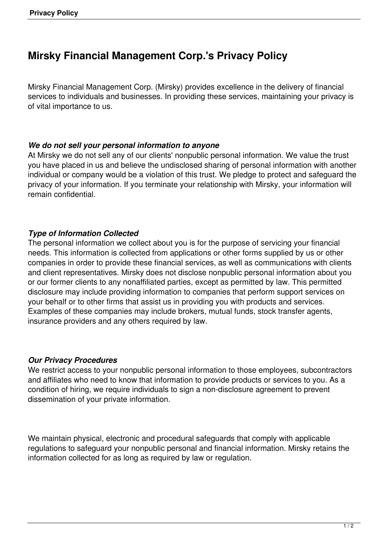# **Mirsky Financial Management Corp.'s Privacy Policy**

Mirsky Financial Management Corp. (Mirsky) provides excellence in the delivery of financial services to individuals and businesses. In providing these services, maintaining your privacy is of vital importance to us.

#### *We do not sell your personal information to anyone*

At Mirsky we do not sell any of our clients' nonpublic personal information. We value the trust you have placed in us and believe the undisclosed sharing of personal information with another individual or company would be a violation of this trust. We pledge to protect and safeguard the privacy of your information. If you terminate your relationship with Mirsky, your information will remain confidential.

### *Type of Information Collected*

The personal information we collect about you is for the purpose of servicing your financial needs. This information is collected from applications or other forms supplied by us or other companies in order to provide these financial services, as well as communications with clients and client representatives. Mirsky does not disclose nonpublic personal information about you or our former clients to any nonaffiliated parties, except as permitted by law. This permitted disclosure may include providing information to companies that perform support services on your behalf or to other firms that assist us in providing you with products and services. Examples of these companies may include brokers, mutual funds, stock transfer agents, insurance providers and any others required by law.

#### *Our Privacy Procedures*

We restrict access to your nonpublic personal information to those employees, subcontractors and affiliates who need to know that information to provide products or services to you. As a condition of hiring, we require individuals to sign a non-disclosure agreement to prevent dissemination of your private information.

We maintain physical, electronic and procedural safeguards that comply with applicable regulations to safeguard your nonpublic personal and financial information. Mirsky retains the information collected for as long as required by law or regulation.